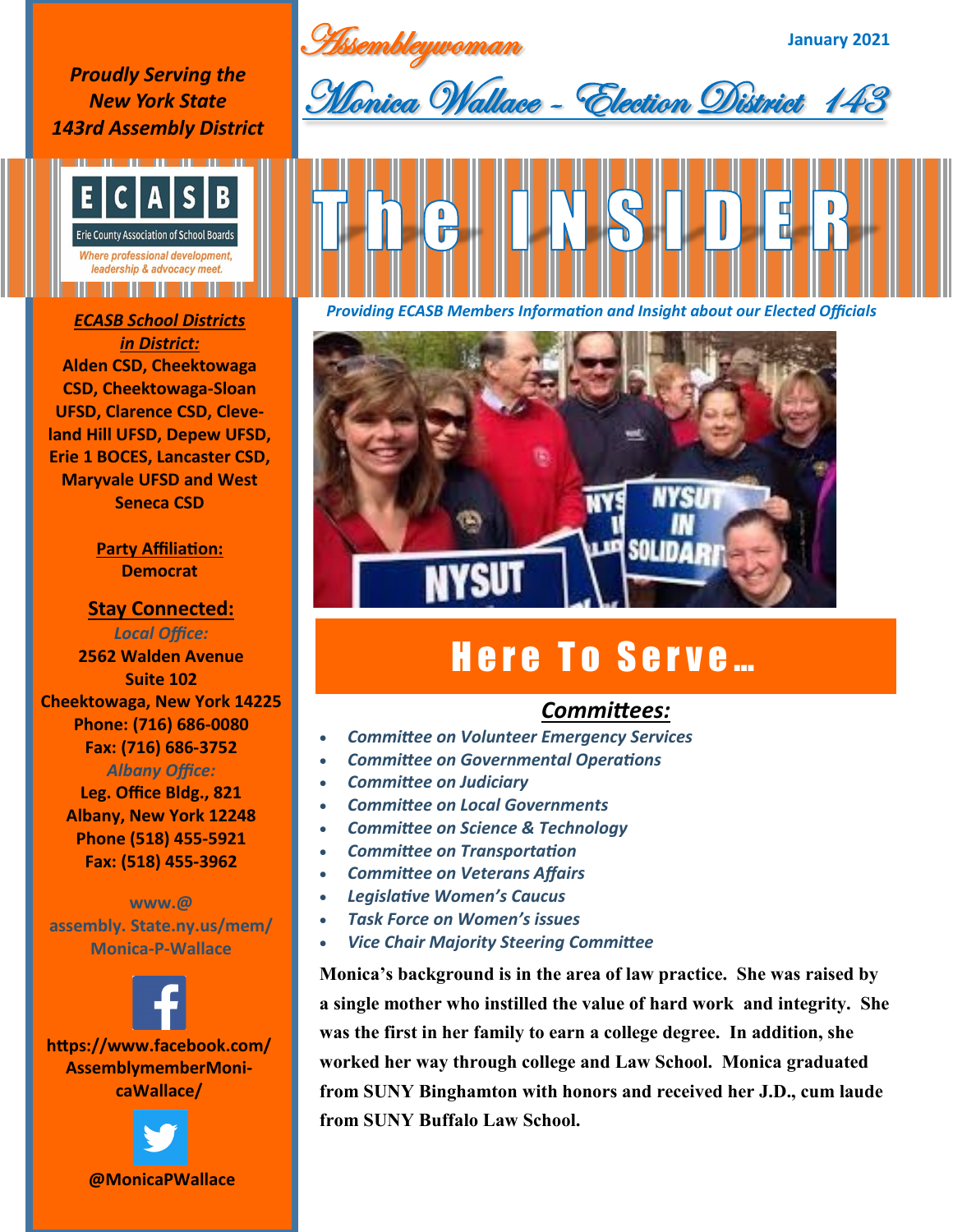Assembleywoman

**January 2021**

*Proudly Serving the New York State 143rd Assembly District*



## *in District:* **Alden CSD, Cheektowaga CSD, Cheektowaga-Sloan UFSD, Clarence CSD, Cleveland Hill UFSD, Depew UFSD, Erie 1 BOCES, Lancaster CSD, Maryvale UFSD and West Seneca CSD**

**Party Affiliation: Democrat**

**Stay Connected:**  *Local Office:* **2562 Walden Avenue Suite 102 Cheektowaga, New York 14225 Phone: (716) 686-0080 Fax: (716) 686-3752** *Albany Office:* 

> **Leg. Office Bldg., 821 Albany, New York 12248 Phone (518) 455-5921 Fax: (518) 455-3962**

**www.@ assembly. State.ny.us/mem/ Monica-P-Wallace**









*Providing ECASB Members Information and Insight about our Elected Officials ECASB School Districts* 

![](_page_0_Picture_14.jpeg)

## Here To Serve...

## *Committees:*

- *Committee on Volunteer Emergency Services*
- *Committee on Governmental Operations*
- *Committee on Judiciary*
- *Committee on Local Governments*
- *Committee on Science & Technology*
- *Committee on Transportation*
- *Committee on Veterans Affairs*
- *Legislative Women's Caucus*
- *Task Force on Women's issues*
- *Vice Chair Majority Steering Committee*

**Monica's background is in the area of law practice. She was raised by a single mother who instilled the value of hard work and integrity. She was the first in her family to earn a college degree. In addition, she worked her way through college and Law School. Monica graduated from SUNY Binghamton with honors and received her J.D., cum laude from SUNY Buffalo Law School.**